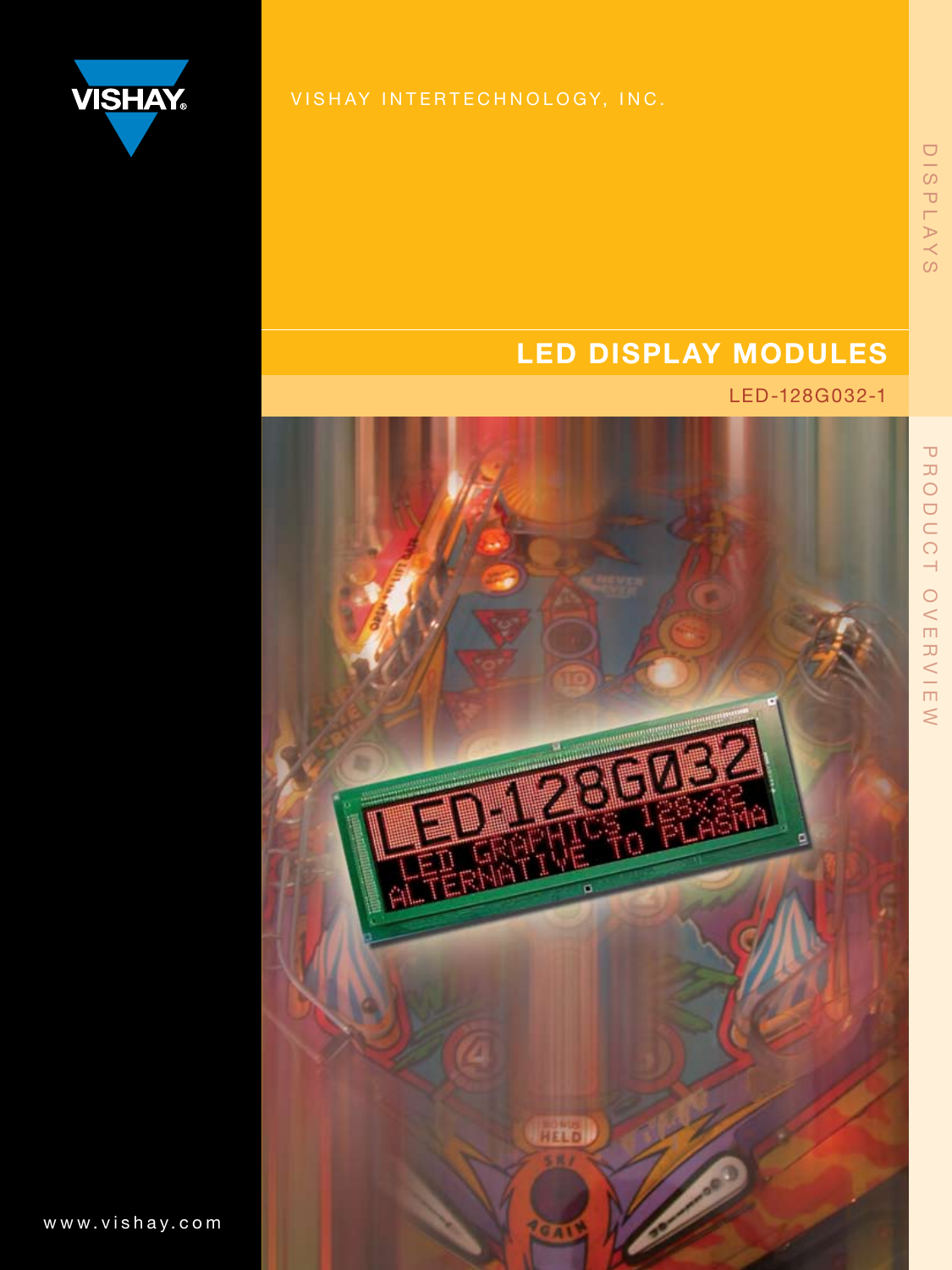

## LED DISPLAY MODULES

### LED-128G032-1



DISPLAYS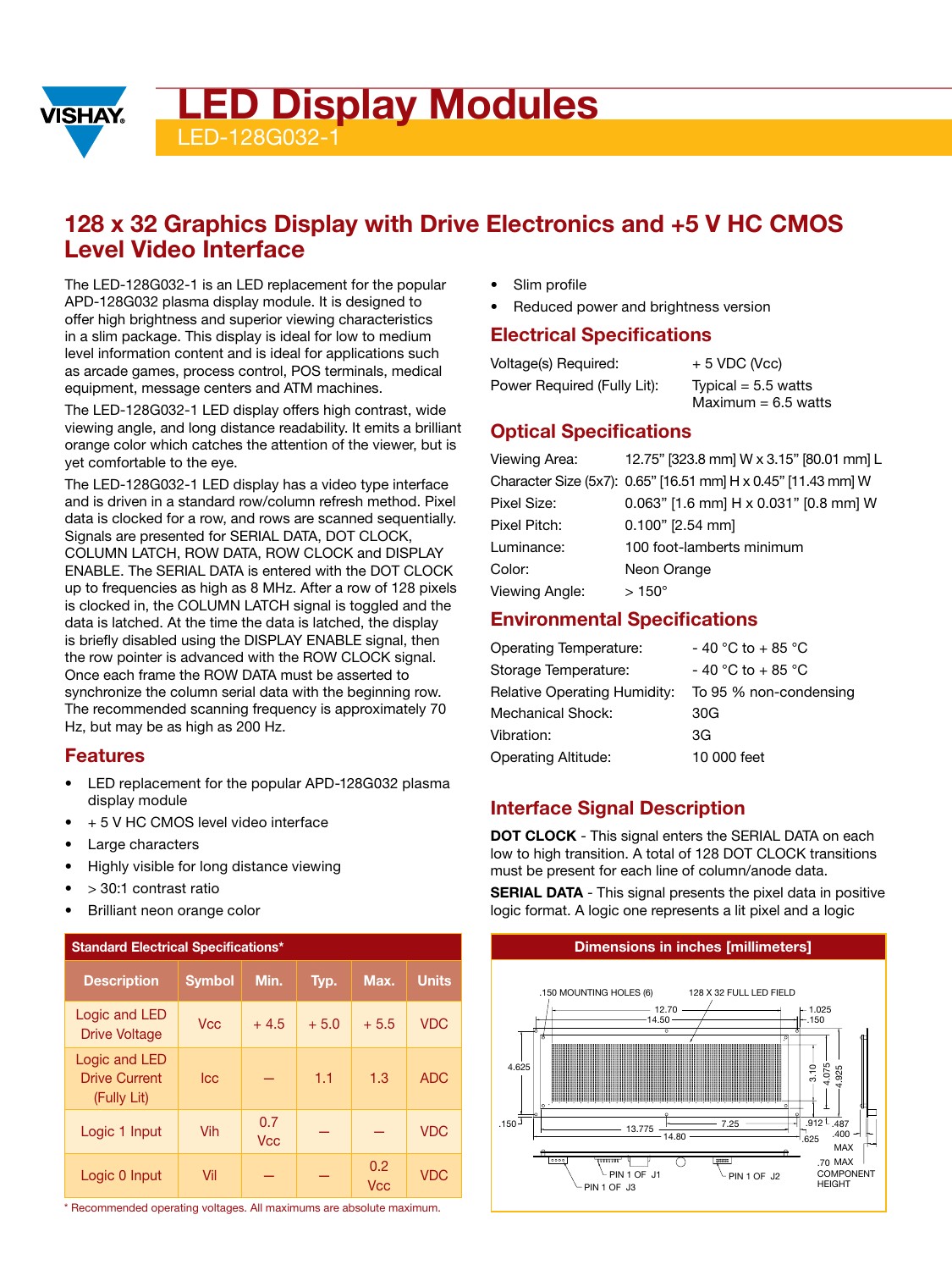**ED Display Modules** 

128G032-

### 128 x 32 Graphics Display with Drive Electronics and +5 V HC CMOS Level Video Interface

The LED-128G032-1 is an LED replacement for the popular APD-128G032 plasma display module. It is designed to offer high brightness and superior viewing characteristics in a slim package. This display is ideal for low to medium level information content and is ideal for applications such as arcade games, process control, POS terminals, medical equipment, message centers and ATM machines.

The LED-128G032-1 LED display offers high contrast, wide viewing angle, and long distance readability. It emits a brilliant orange color which catches the attention of the viewer, but is yet comfortable to the eye.

The LED-128G032-1 LED display has a video type interface and is driven in a standard row/column refresh method. Pixel data is clocked for a row, and rows are scanned sequentially. Signals are presented for SERIAL DATA, DOT CLOCK, COLUMN LATCH, ROW DATA, ROW CLOCK and DISPLAY ENABLE. The SERIAL DATA is entered with the DOT CLOCK up to frequencies as high as 8 MHz. After a row of 128 pixels is clocked in, the COLUMN LATCH signal is toggled and the data is latched. At the time the data is latched, the display is briefly disabled using the DISPLAY ENABLE signal, then the row pointer is advanced with the ROW CLOCK signal. Once each frame the ROW DATA must be asserted to synchronize the column serial data with the beginning row. The recommended scanning frequency is approximately 70 Hz, but may be as high as 200 Hz.

### Features

**VISHAY** 

- LED replacement for the popular APD-128G032 plasma display module
- + 5 V HC CMOS level video interface
- Large characters
- Highly visible for long distance viewing
- > 30:1 contrast ratio
- Brilliant neon orange color

| <b>Standard Electrical Specifications*</b>           |               |                   |        |                   |              |  |
|------------------------------------------------------|---------------|-------------------|--------|-------------------|--------------|--|
| <b>Description</b>                                   | <b>Symbol</b> | Min.              | Typ.   | Max.              | <b>Units</b> |  |
| Logic and LED<br><b>Drive Voltage</b>                | <b>Vcc</b>    | $+4.5$            | $+5.0$ | $+5.5$            | <b>VDC</b>   |  |
| Logic and LED<br><b>Drive Current</b><br>(Fully Lit) | lcc.          |                   | 1.1    | 1.3               | <b>ADC</b>   |  |
| Logic 1 Input                                        | Vih           | 0.7<br><b>Vcc</b> |        |                   | <b>VDC</b>   |  |
| Logic 0 Input                                        | Vil           |                   |        | 0.2<br><b>Vcc</b> | <b>VDC</b>   |  |

\* Recommended operating voltages. All maximums are absolute maximum.

- Slim profile
- Reduced power and brightness version

### Electrical Specifications

| Voltage(s) Required:        | $+5$ VDC (Vcc)        |
|-----------------------------|-----------------------|
| Power Required (Fully Lit): | Typical = $5.5$ watts |
|                             | Maximum = $6.5$ watts |

### Optical Specifications

| Viewing Area:  | 12.75" [323.8 mm] W x 3.15" [80.01 mm] L                      |
|----------------|---------------------------------------------------------------|
|                | Character Size (5x7): 0.65" [16.51 mm] H x 0.45" [11.43 mm] W |
| Pixel Size:    | 0.063" [1.6 mm] H x 0.031" [0.8 mm] W                         |
| Pixel Pitch:   | $0.100"$ [2.54 mm]                                            |
| Luminance:     | 100 foot-lamberts minimum                                     |
| Color:         | Neon Orange                                                   |
| Viewing Angle: | $>150^{\circ}$                                                |

### Environmental Specifications

| - 40 °C to + 85 °C     |
|------------------------|
| $-40$ °C to $+85$ °C   |
| To 95 % non-condensing |
| 30G                    |
| 3G                     |
| 10 000 feet            |
|                        |

### Interface Signal Description

DOT CLOCK - This signal enters the SERIAL DATA on each low to high transition. A total of 128 DOT CLOCK transitions must be present for each line of column/anode data.

**SERIAL DATA** - This signal presents the pixel data in positive logic format. A logic one represents a lit pixel and a logic

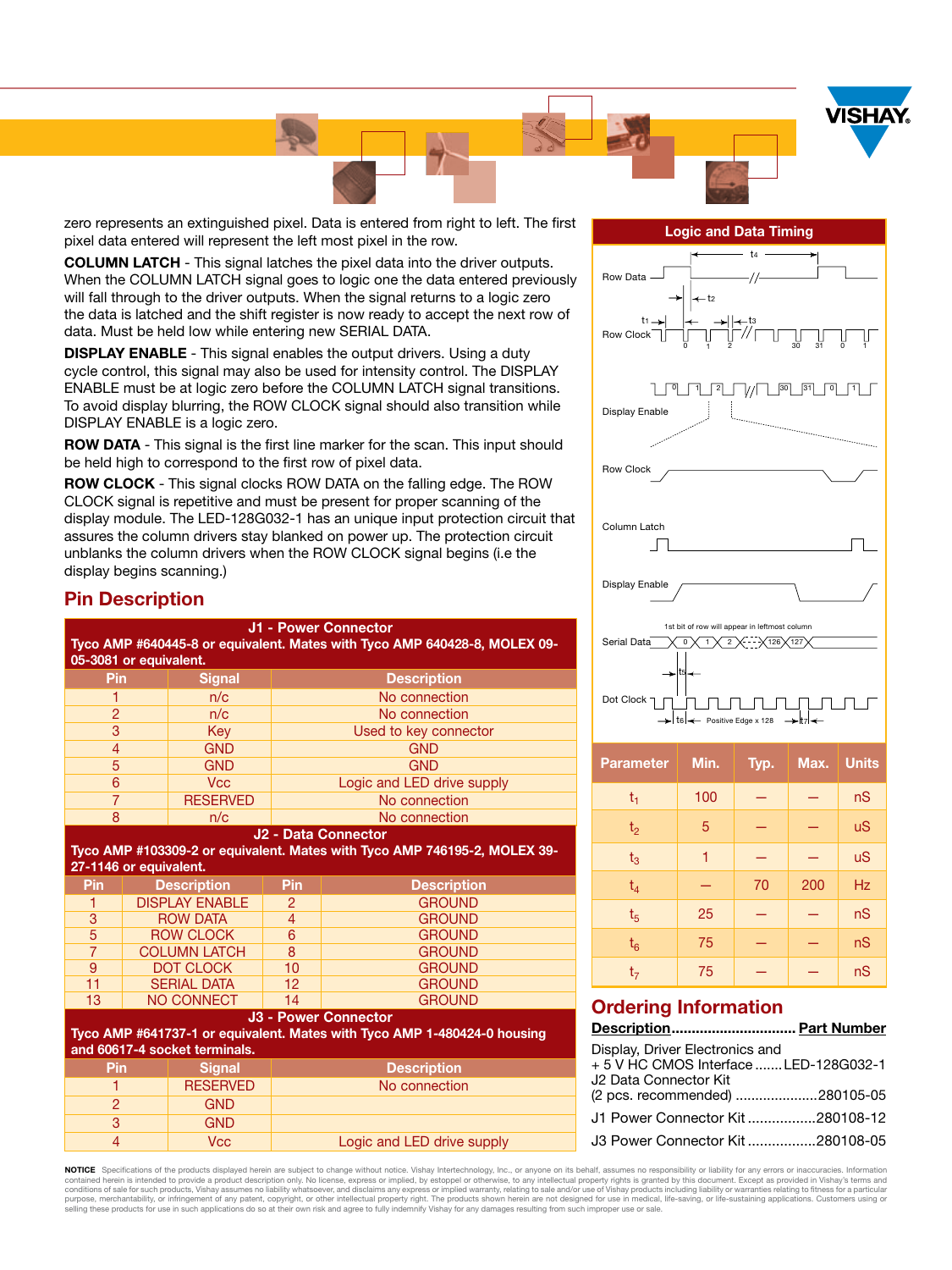

zero represents an extinguished pixel. Data is entered from right to left. The first pixel data entered will represent the left most pixel in the row.

COLUMN LATCH - This signal latches the pixel data into the driver outputs. When the COLUMN LATCH signal goes to logic one the data entered previously will fall through to the driver outputs. When the signal returns to a logic zero the data is latched and the shift register is now ready to accept the next row of data. Must be held low while entering new SERIAL DATA.

**DISPLAY ENABLE** - This signal enables the output drivers. Using a duty cycle control, this signal may also be used for intensity control. The DISPLAY ENABLE must be at logic zero before the COLUMN LATCH signal transitions. To avoid display blurring, the ROW CLOCK signal should also transition while DISPLAY ENABLE is a logic zero.

ROW DATA - This signal is the first line marker for the scan. This input should be held high to correspond to the first row of pixel data.

ROW CLOCK - This signal clocks ROW DATA on the falling edge. The ROW CLOCK signal is repetitive and must be present for proper scanning of the display module. The LED-128G032-1 has an unique input protection circuit that assures the column drivers stay blanked on power up. The protection circuit unblanks the column drivers when the ROW CLOCK signal begins (i.e the display begins scanning.)

### Pin Description

| <b>J1 - Power Connector</b><br>Tyco AMP #640445-8 or equivalent. Mates with Tyco AMP 640428-8, MOLEX 09-<br>05-3081 or equivalent.     |  |                               |                            |                                                                                                         |  |
|----------------------------------------------------------------------------------------------------------------------------------------|--|-------------------------------|----------------------------|---------------------------------------------------------------------------------------------------------|--|
| Pin                                                                                                                                    |  | <b>Signal</b>                 |                            | <b>Description</b>                                                                                      |  |
| 1                                                                                                                                      |  | n/c                           | No connection              |                                                                                                         |  |
| $\overline{2}$                                                                                                                         |  | n/c                           | No connection              |                                                                                                         |  |
| 3                                                                                                                                      |  | Key                           |                            | Used to key connector                                                                                   |  |
| $\overline{4}$                                                                                                                         |  | <b>GND</b>                    |                            | <b>GND</b>                                                                                              |  |
| $\overline{5}$                                                                                                                         |  | <b>GND</b>                    | <b>GND</b>                 |                                                                                                         |  |
| 6                                                                                                                                      |  | <b>Vcc</b>                    | Logic and LED drive supply |                                                                                                         |  |
| $\overline{7}$                                                                                                                         |  | <b>RESERVED</b>               | No connection              |                                                                                                         |  |
| 8                                                                                                                                      |  | n/c                           | No connection              |                                                                                                         |  |
| J <sub>2</sub> - Data Connector<br>Tyco AMP #103309-2 or equivalent. Mates with Tyco AMP 746195-2, MOLEX 39-<br>27-1146 or equivalent. |  |                               |                            |                                                                                                         |  |
|                                                                                                                                        |  |                               |                            |                                                                                                         |  |
| Pin                                                                                                                                    |  | <b>Description</b>            | Pin                        | <b>Description</b>                                                                                      |  |
| 1                                                                                                                                      |  | <b>DISPLAY ENABLE</b>         | $\overline{2}$             | <b>GROUND</b>                                                                                           |  |
| $\overline{3}$                                                                                                                         |  | <b>ROW DATA</b>               | $\overline{4}$             | <b>GROUND</b>                                                                                           |  |
| 5                                                                                                                                      |  | <b>ROW CLOCK</b>              | $\overline{6}$             | <b>GROUND</b>                                                                                           |  |
| $\overline{7}$                                                                                                                         |  | <b>COLUMN LATCH</b>           | 8                          | <b>GROUND</b>                                                                                           |  |
| $\overline{9}$                                                                                                                         |  | <b>DOT CLOCK</b>              | 10                         | <b>GROUND</b>                                                                                           |  |
| 11                                                                                                                                     |  | <b>SERIAL DATA</b>            | 12                         | <b>GROUND</b>                                                                                           |  |
| 13                                                                                                                                     |  | <b>NO CONNECT</b>             | 14                         | <b>GROUND</b>                                                                                           |  |
|                                                                                                                                        |  | and 60617-4 socket terminals. |                            | <b>J3 - Power Connector</b><br>Tyco AMP #641737-1 or equivalent. Mates with Tyco AMP 1-480424-0 housing |  |
| Pin                                                                                                                                    |  | <b>Signal</b>                 |                            | <b>Description</b>                                                                                      |  |
| 1                                                                                                                                      |  | <b>RESERVED</b>               |                            | No connection                                                                                           |  |
| $\overline{2}$                                                                                                                         |  | <b>GND</b>                    |                            |                                                                                                         |  |

4 Vcc **Logic and LED drive supply** 

Logic and Data Timing



| <b>Parameter</b> | Min. | Typ. | Max. | <b>Units</b> |
|------------------|------|------|------|--------------|
| $t_1$            | 100  |      |      | nS           |
| t <sub>2</sub>   | 5    |      |      | <b>uS</b>    |
| $t_3$            | 1    |      |      | <b>uS</b>    |
| $t_4$            |      | 70   | 200  | <b>Hz</b>    |
| t <sub>5</sub>   | 25   |      |      | nS           |
| $t_6$            | 75   |      |      | nS           |
| t <sub>7</sub>   | 75   |      |      | nS           |

### Ordering Information

Description............................... Part Number

| Display, Driver Electronics and       |  |
|---------------------------------------|--|
| +5 V HC CMOS Interface  LED-128G032-1 |  |
| J2 Data Connector Kit                 |  |
| (2 pcs. recommended) 280105-05        |  |
| J1 Power Connector Kit280108-12       |  |
|                                       |  |
| J3 Power Connector Kit280108-05       |  |

**NOTICE** Specifications of the products displayed herein are subject to change without notice. Vishay Intertechnology, Inc., or anyone on its behalf, assumes no responsibility or liability for any errors or inaccuracies. I purpose, merchantability, or infringement of any patent, copyright, or other intellectual property right. The products shown herein are not designed for use in medical, life-saving, or life-sustaining applications. Custome selling these products for use in such applications do so at their own risk and agree to fully indemnify Vishay for any damages resulting from such improper use or sale.